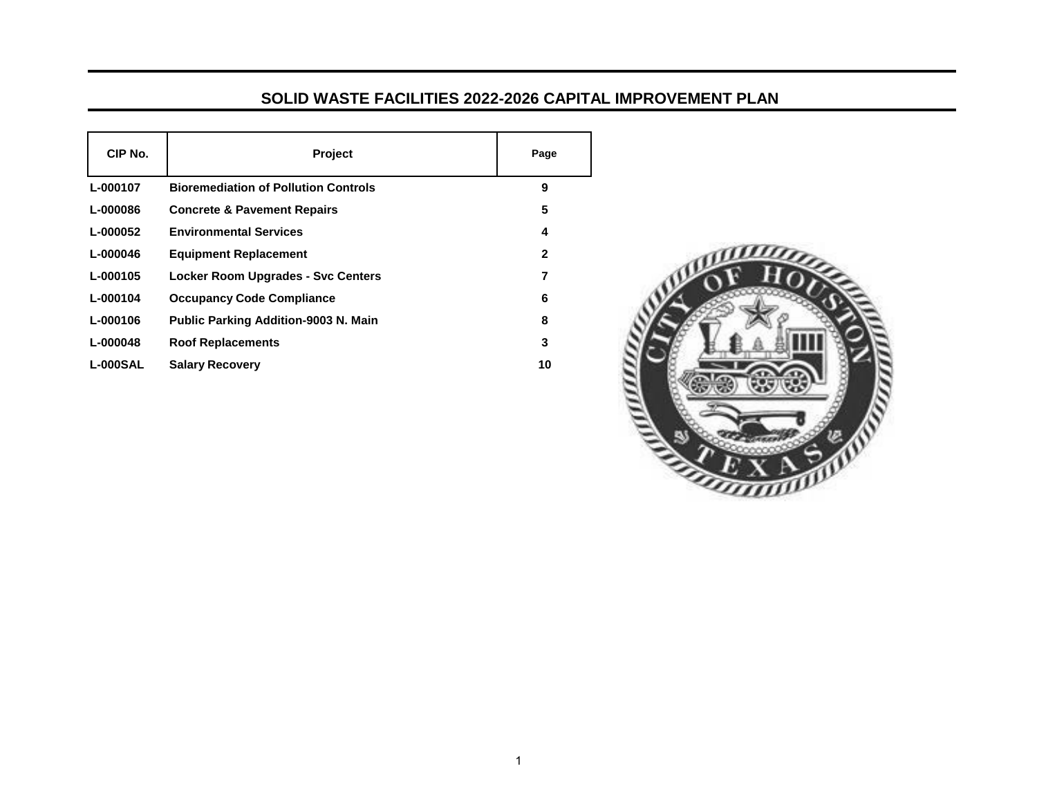## **SOLID WASTE FACILITIES 2022-2026 CAPITAL IMPROVEMENT PLAN**

| CIP No.         | <b>Project</b>                              | Page |
|-----------------|---------------------------------------------|------|
| L-000107        | <b>Bioremediation of Pollution Controls</b> | 9    |
| L-000086        | <b>Concrete &amp; Pavement Repairs</b>      | 5    |
| L-000052        | <b>Environmental Services</b>               | 4    |
| L-000046        | <b>Equipment Replacement</b>                | 2    |
| L-000105        | <b>Locker Room Upgrades - Svc Centers</b>   | 7    |
| L-000104        | <b>Occupancy Code Compliance</b>            | 6    |
| L-000106        | <b>Public Parking Addition-9003 N. Main</b> | 8    |
| L-000048        | <b>Roof Replacements</b>                    | 3    |
| <b>L-000SAL</b> | <b>Salary Recovery</b>                      | 10   |

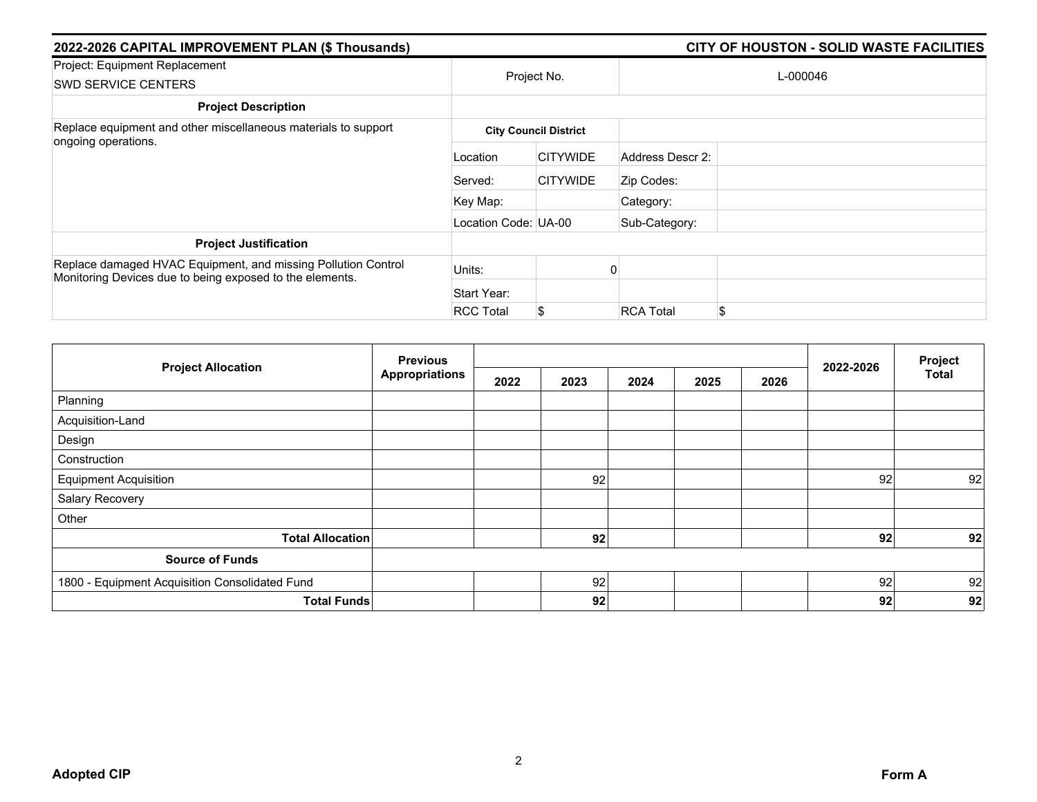| 2022-2026 CAPITAL IMPROVEMENT PLAN (\$ Thousands)                                                                         |                      | CITY OF HOUSTON - SOLID WASTE FACILITIES |                  |    |  |
|---------------------------------------------------------------------------------------------------------------------------|----------------------|------------------------------------------|------------------|----|--|
| Project: Equipment Replacement<br><b>SWD SERVICE CENTERS</b>                                                              | Project No.          |                                          | L-000046         |    |  |
| <b>Project Description</b>                                                                                                |                      |                                          |                  |    |  |
| Replace equipment and other miscellaneous materials to support                                                            |                      | <b>City Council District</b>             |                  |    |  |
| ongoing operations.                                                                                                       | Location             | <b>CITYWIDE</b>                          | Address Descr 2: |    |  |
|                                                                                                                           | Served:              | <b>CITYWIDE</b>                          | Zip Codes:       |    |  |
|                                                                                                                           | Key Map:             |                                          | Category:        |    |  |
|                                                                                                                           | Location Code: UA-00 |                                          | Sub-Category:    |    |  |
| <b>Project Justification</b>                                                                                              |                      |                                          |                  |    |  |
| Replace damaged HVAC Equipment, and missing Pollution Control<br>Monitoring Devices due to being exposed to the elements. | Units:               |                                          |                  |    |  |
|                                                                                                                           | Start Year:          |                                          |                  |    |  |
|                                                                                                                           | <b>RCC Total</b>     | \$                                       | <b>RCA Total</b> | \$ |  |

|                                                | <b>Previous</b>       |      |      |      |      |      |           | Project      |
|------------------------------------------------|-----------------------|------|------|------|------|------|-----------|--------------|
| <b>Project Allocation</b>                      | <b>Appropriations</b> | 2022 | 2023 | 2024 | 2025 | 2026 | 2022-2026 | <b>Total</b> |
| Planning                                       |                       |      |      |      |      |      |           |              |
| Acquisition-Land                               |                       |      |      |      |      |      |           |              |
| Design                                         |                       |      |      |      |      |      |           |              |
| Construction                                   |                       |      |      |      |      |      |           |              |
| <b>Equipment Acquisition</b>                   |                       |      | 92   |      |      |      | 92        | 92           |
| Salary Recovery                                |                       |      |      |      |      |      |           |              |
| Other                                          |                       |      |      |      |      |      |           |              |
| <b>Total Allocation</b>                        |                       |      | 92   |      |      |      | 92        | 92           |
| <b>Source of Funds</b>                         |                       |      |      |      |      |      |           |              |
| 1800 - Equipment Acquisition Consolidated Fund |                       |      | 92   |      |      |      | 92        | 92           |
| <b>Total Funds</b>                             |                       |      | 92   |      |      |      | 92        | 92           |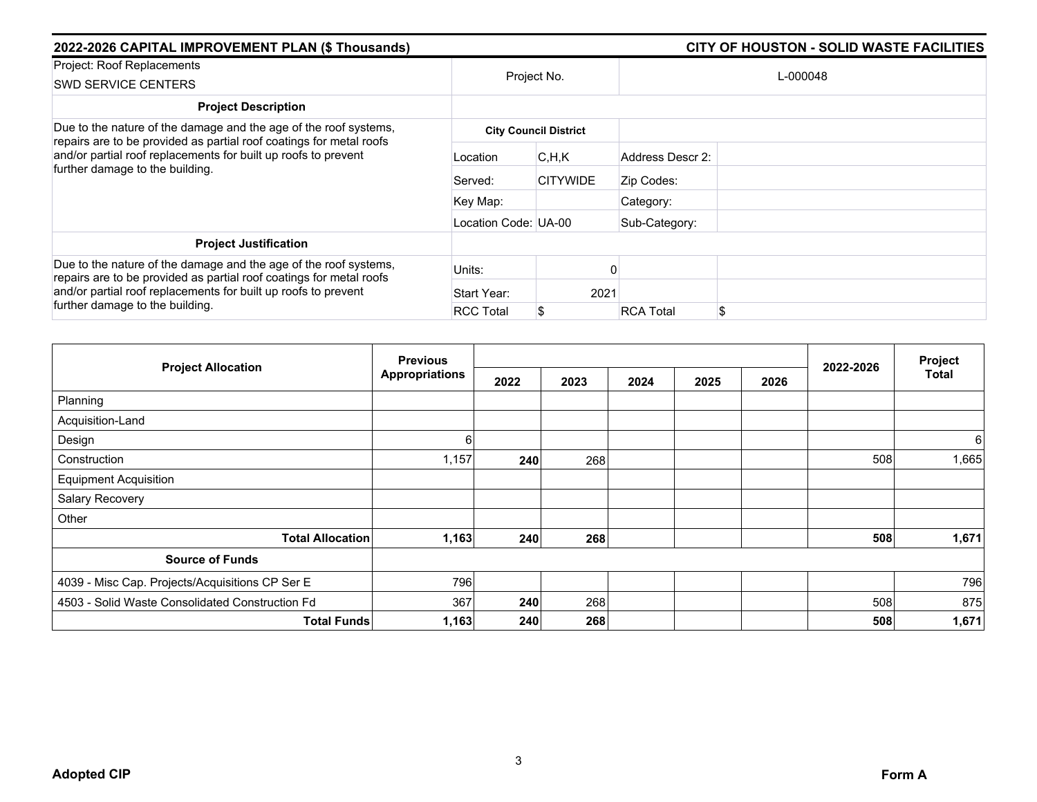| 2022-2026 CAPITAL IMPROVEMENT PLAN (\$ Thousands)                                                                                                                                                                                            |                      | <b>CITY OF HOUSTON - SOLID WASTE FACILITIES</b> |                  |          |
|----------------------------------------------------------------------------------------------------------------------------------------------------------------------------------------------------------------------------------------------|----------------------|-------------------------------------------------|------------------|----------|
| Project: Roof Replacements<br><b>SWD SERVICE CENTERS</b>                                                                                                                                                                                     | Project No.          |                                                 |                  | L-000048 |
| <b>Project Description</b>                                                                                                                                                                                                                   |                      |                                                 |                  |          |
| Due to the nature of the damage and the age of the roof systems,<br>repairs are to be provided as partial roof coatings for metal roofs<br>and/or partial roof replacements for built up roofs to prevent                                    |                      | <b>City Council District</b>                    |                  |          |
|                                                                                                                                                                                                                                              | Location             | C, H, K                                         | Address Descr 2: |          |
| further damage to the building.                                                                                                                                                                                                              | Served:              | <b>CITYWIDE</b>                                 | Zip Codes:       |          |
|                                                                                                                                                                                                                                              | Key Map:             |                                                 | Category:        |          |
|                                                                                                                                                                                                                                              | Location Code: UA-00 |                                                 | Sub-Category:    |          |
| <b>Project Justification</b>                                                                                                                                                                                                                 |                      |                                                 |                  |          |
| Due to the nature of the damage and the age of the roof systems,<br>repairs are to be provided as partial roof coatings for metal roofs<br>and/or partial roof replacements for built up roofs to prevent<br>further damage to the building. | Units:               |                                                 |                  |          |
|                                                                                                                                                                                                                                              | Start Year:          | 2021                                            |                  |          |
|                                                                                                                                                                                                                                              | <b>RCC Total</b>     |                                                 | <b>RCA Total</b> | \$       |

|                                                 | <b>Previous</b>       |      |      |      |      |      |           | Project |
|-------------------------------------------------|-----------------------|------|------|------|------|------|-----------|---------|
| <b>Project Allocation</b>                       | <b>Appropriations</b> | 2022 | 2023 | 2024 | 2025 | 2026 | 2022-2026 | Total   |
| Planning                                        |                       |      |      |      |      |      |           |         |
| Acquisition-Land                                |                       |      |      |      |      |      |           |         |
| Design                                          | 6                     |      |      |      |      |      |           | 6       |
| Construction                                    | 1,157                 | 240  | 268  |      |      |      | 508       | 1,665   |
| <b>Equipment Acquisition</b>                    |                       |      |      |      |      |      |           |         |
| Salary Recovery                                 |                       |      |      |      |      |      |           |         |
| Other                                           |                       |      |      |      |      |      |           |         |
| <b>Total Allocation</b>                         | 1,163                 | 240  | 268  |      |      |      | 508       | 1,671   |
| <b>Source of Funds</b>                          |                       |      |      |      |      |      |           |         |
| 4039 - Misc Cap. Projects/Acquisitions CP Ser E | 796                   |      |      |      |      |      |           | 796     |
| 4503 - Solid Waste Consolidated Construction Fd | 367                   | 240  | 268  |      |      |      | 508       | 875     |
| <b>Total Funds</b>                              | 1,163                 | 240  | 268  |      |      |      | 508       | 1,671   |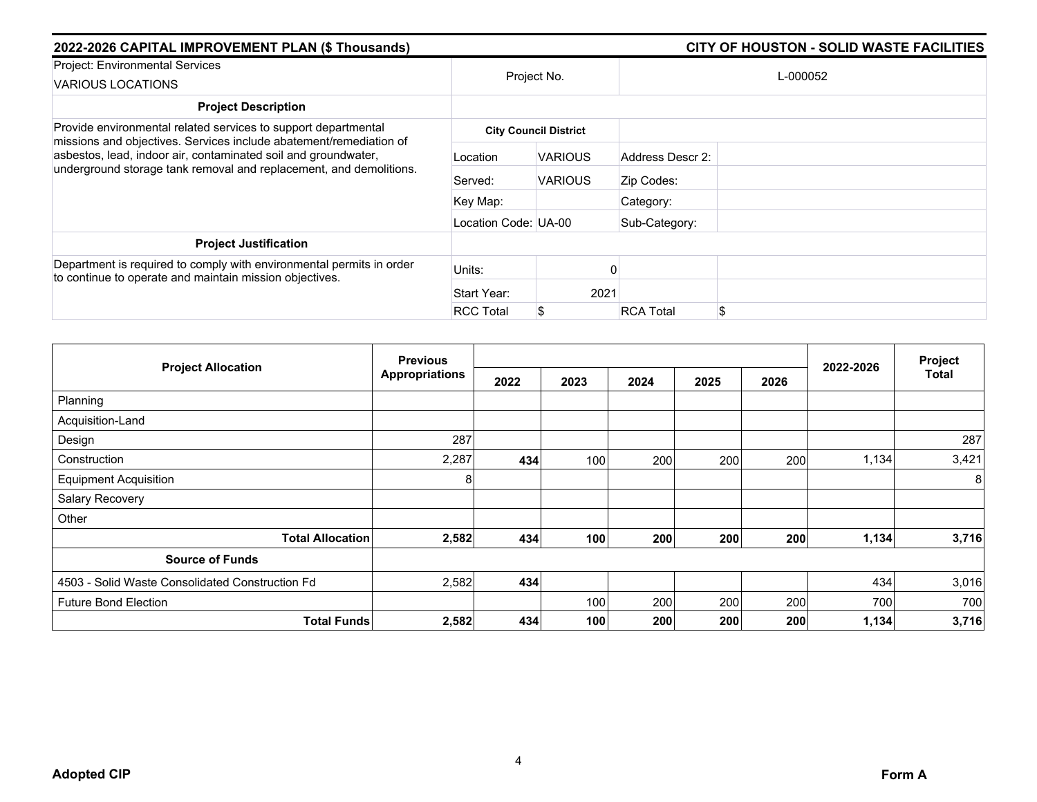| 2022-2026 CAPITAL IMPROVEMENT PLAN (\$ Thousands)                                                                                    |                      | <b>CITY OF HOUSTON - SOLID WASTE FACILITIES</b> |                  |          |
|--------------------------------------------------------------------------------------------------------------------------------------|----------------------|-------------------------------------------------|------------------|----------|
| Project: Environmental Services<br>VARIOUS LOCATIONS                                                                                 | Project No.          |                                                 |                  | L-000052 |
| <b>Project Description</b>                                                                                                           |                      |                                                 |                  |          |
| Provide environmental related services to support departmental                                                                       |                      | <b>City Council District</b>                    |                  |          |
| missions and objectives. Services include abatement/remediation of<br>asbestos, lead, indoor air, contaminated soil and groundwater, | Location             | <b>VARIOUS</b>                                  | Address Descr 2: |          |
| underground storage tank removal and replacement, and demolitions.                                                                   | Served:              | <b>VARIOUS</b>                                  | Zip Codes:       |          |
|                                                                                                                                      | Key Map:             |                                                 | Category:        |          |
|                                                                                                                                      | Location Code: UA-00 |                                                 | Sub-Category:    |          |
| <b>Project Justification</b>                                                                                                         |                      |                                                 |                  |          |
| Department is required to comply with environmental permits in order<br>to continue to operate and maintain mission objectives.      | Units:               |                                                 |                  |          |
|                                                                                                                                      | Start Year:          | 2021                                            |                  |          |
|                                                                                                                                      | <b>RCC Total</b>     | S                                               | <b>RCA Total</b> |          |

|                                                 | <b>Previous</b>       |      |      |      |      |      |           | Project      |
|-------------------------------------------------|-----------------------|------|------|------|------|------|-----------|--------------|
| <b>Project Allocation</b>                       | <b>Appropriations</b> | 2022 | 2023 | 2024 | 2025 | 2026 | 2022-2026 | <b>Total</b> |
| Planning                                        |                       |      |      |      |      |      |           |              |
| Acquisition-Land                                |                       |      |      |      |      |      |           |              |
| Design                                          | 287                   |      |      |      |      |      |           | 287          |
| Construction                                    | 2,287                 | 434  | 100  | 200  | 200  | 200  | 1,134     | 3,421        |
| <b>Equipment Acquisition</b>                    | 8                     |      |      |      |      |      |           | 8            |
| Salary Recovery                                 |                       |      |      |      |      |      |           |              |
| Other                                           |                       |      |      |      |      |      |           |              |
| <b>Total Allocation</b>                         | 2,582                 | 434  | 100  | 200  | 200  | 200  | 1,134     | 3,716        |
| <b>Source of Funds</b>                          |                       |      |      |      |      |      |           |              |
| 4503 - Solid Waste Consolidated Construction Fd | 2,582                 | 434  |      |      |      |      | 434       | 3,016        |
| <b>Future Bond Election</b>                     |                       |      | 100  | 200  | 200  | 200  | 700       | 700          |
| <b>Total Funds</b>                              | 2,582                 | 434  | 100  | 200  | 200  | 200  | 1,134     | 3,716        |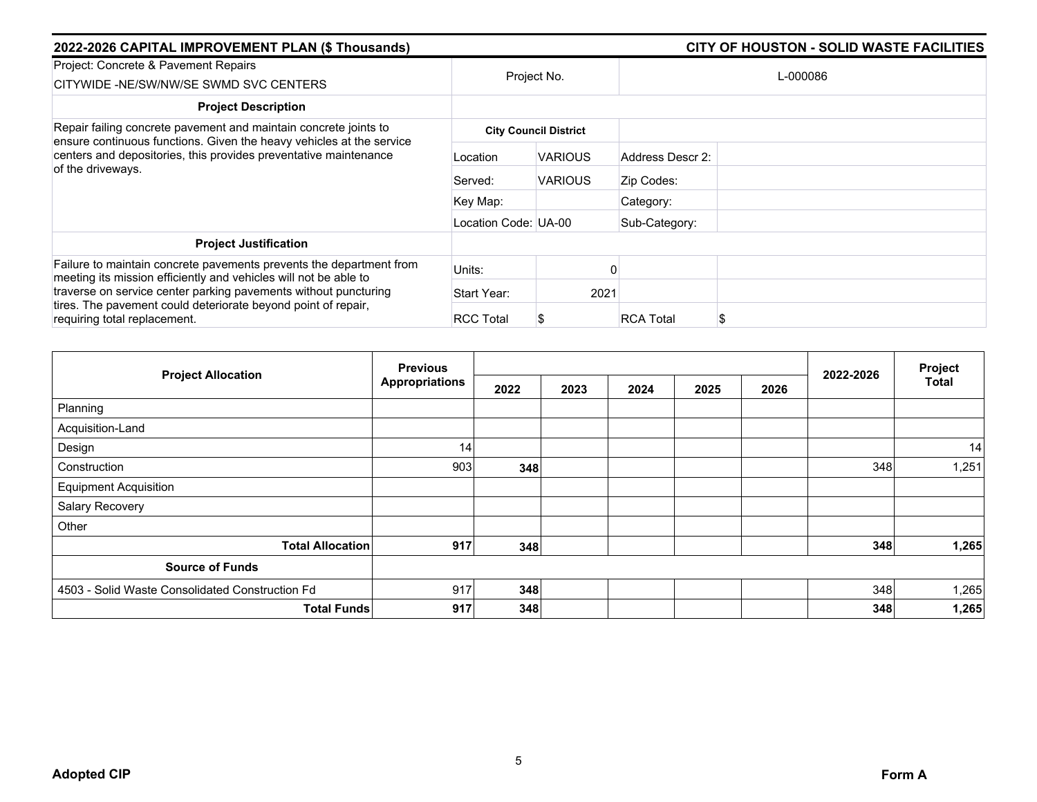| 2022-2026 CAPITAL IMPROVEMENT PLAN (\$ Thousands)                                                                                                                                                            |                      |                              | CITY OF HOUSTON - SOLID WASTE FACILITIES |          |  |  |  |
|--------------------------------------------------------------------------------------------------------------------------------------------------------------------------------------------------------------|----------------------|------------------------------|------------------------------------------|----------|--|--|--|
| Project: Concrete & Pavement Repairs<br>CITYWIDE -NE/SW/NW/SE SWMD SVC CENTERS                                                                                                                               | Project No.          |                              |                                          | L-000086 |  |  |  |
| <b>Project Description</b>                                                                                                                                                                                   |                      |                              |                                          |          |  |  |  |
| Repair failing concrete pavement and maintain concrete joints to<br>ensure continuous functions. Given the heavy vehicles at the service<br>centers and depositories, this provides preventative maintenance |                      | <b>City Council District</b> |                                          |          |  |  |  |
|                                                                                                                                                                                                              | Location             | <b>VARIOUS</b>               | Address Descr 2:                         |          |  |  |  |
| of the driveways.                                                                                                                                                                                            | Served:              | <b>VARIOUS</b>               | Zip Codes:                               |          |  |  |  |
|                                                                                                                                                                                                              | Key Map:             |                              | Category:                                |          |  |  |  |
|                                                                                                                                                                                                              | Location Code: UA-00 |                              | Sub-Category:                            |          |  |  |  |
| <b>Project Justification</b>                                                                                                                                                                                 |                      |                              |                                          |          |  |  |  |
| Failure to maintain concrete pavements prevents the department from<br>meeting its mission efficiently and vehicles will not be able to                                                                      | Units:               |                              |                                          |          |  |  |  |
| traverse on service center parking pavements without puncturing                                                                                                                                              | Start Year:          | 2021                         |                                          |          |  |  |  |
| tires. The pavement could deteriorate beyond point of repair,<br>requiring total replacement.                                                                                                                | <b>RCC Total</b>     |                              | <b>RCA Total</b>                         |          |  |  |  |

|                                                 |                       |      |      |  |              |  | Project   |              |
|-------------------------------------------------|-----------------------|------|------|--|--------------|--|-----------|--------------|
| <b>Project Allocation</b>                       | <b>Appropriations</b> | 2022 | 2023 |  | 2024<br>2025 |  | 2022-2026 | <b>Total</b> |
| Planning                                        |                       |      |      |  |              |  |           |              |
| Acquisition-Land                                |                       |      |      |  |              |  |           |              |
| Design                                          | 14                    |      |      |  |              |  |           | 14           |
| Construction                                    | 903                   | 348  |      |  |              |  | 348       | 1,251        |
| <b>Equipment Acquisition</b>                    |                       |      |      |  |              |  |           |              |
| Salary Recovery                                 |                       |      |      |  |              |  |           |              |
| Other                                           |                       |      |      |  |              |  |           |              |
| <b>Total Allocation</b>                         | 917                   | 348  |      |  |              |  | 348       | 1,265        |
| <b>Source of Funds</b>                          |                       |      |      |  |              |  |           |              |
| 4503 - Solid Waste Consolidated Construction Fd | 917                   | 348  |      |  |              |  | 348       | 1,265        |
| <b>Total Funds</b>                              | 917                   | 348  |      |  |              |  | 348       | 1,265        |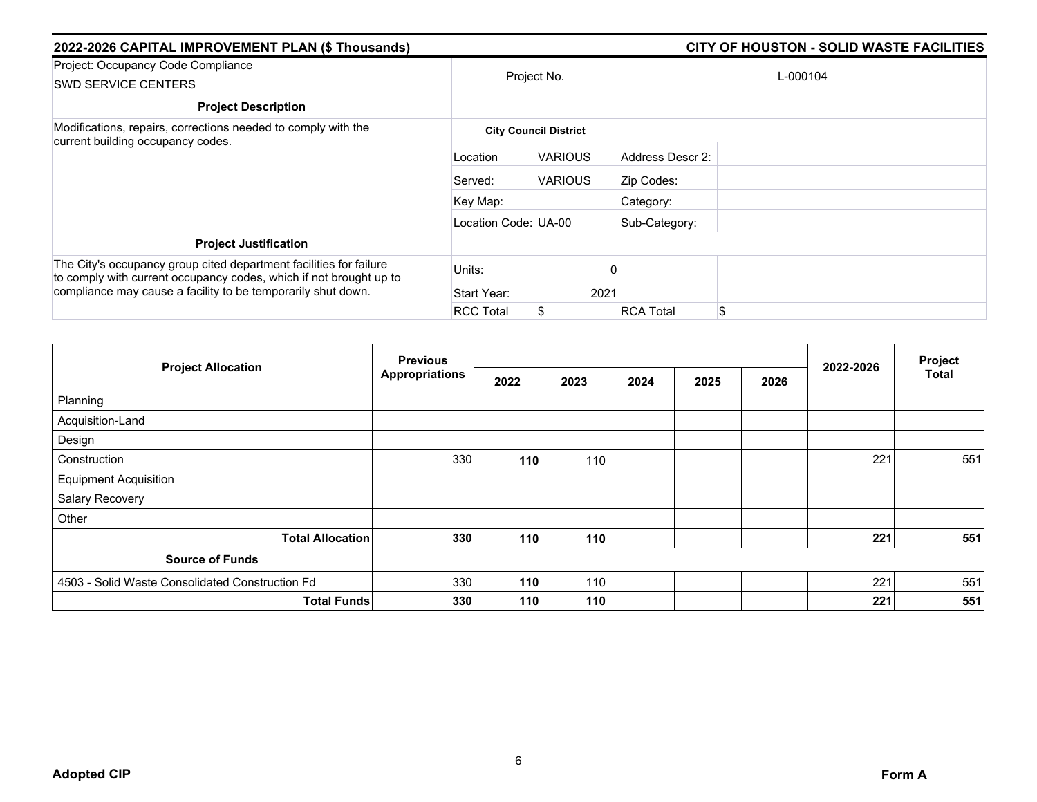| 2022-2026 CAPITAL IMPROVEMENT PLAN (\$ Thousands)                                                                                                                                                        |                      |                              | <b>CITY OF HOUSTON - SOLID WASTE FACILITIES</b> |          |
|----------------------------------------------------------------------------------------------------------------------------------------------------------------------------------------------------------|----------------------|------------------------------|-------------------------------------------------|----------|
| Project: Occupancy Code Compliance<br><b>SWD SERVICE CENTERS</b>                                                                                                                                         | Project No.          |                              |                                                 | L-000104 |
| <b>Project Description</b>                                                                                                                                                                               |                      |                              |                                                 |          |
| Modifications, repairs, corrections needed to comply with the                                                                                                                                            |                      | <b>City Council District</b> |                                                 |          |
| current building occupancy codes.                                                                                                                                                                        | Location             | <b>VARIOUS</b>               | Address Descr 2:                                |          |
|                                                                                                                                                                                                          | Served:              | <b>VARIOUS</b>               | Zip Codes:                                      |          |
|                                                                                                                                                                                                          | Key Map:             |                              | Category:                                       |          |
|                                                                                                                                                                                                          | Location Code: UA-00 |                              | Sub-Category:                                   |          |
| <b>Project Justification</b>                                                                                                                                                                             |                      |                              |                                                 |          |
| The City's occupancy group cited department facilities for failure<br>to comply with current occupancy codes, which if not brought up to<br>compliance may cause a facility to be temporarily shut down. | Units:               |                              |                                                 |          |
|                                                                                                                                                                                                          | Start Year:          | 2021                         |                                                 |          |
|                                                                                                                                                                                                          | <b>RCC Total</b>     | \$                           | <b>RCA Total</b>                                | \$       |

| <b>Previous</b>                                 |                       |      |      |      |      |      |           | Project      |
|-------------------------------------------------|-----------------------|------|------|------|------|------|-----------|--------------|
| <b>Project Allocation</b>                       | <b>Appropriations</b> | 2022 | 2023 | 2024 | 2025 | 2026 | 2022-2026 | <b>Total</b> |
| Planning                                        |                       |      |      |      |      |      |           |              |
| Acquisition-Land                                |                       |      |      |      |      |      |           |              |
| Design                                          |                       |      |      |      |      |      |           |              |
| Construction                                    | 330                   | 110  | 110  |      |      |      | 221       | 551          |
| <b>Equipment Acquisition</b>                    |                       |      |      |      |      |      |           |              |
| Salary Recovery                                 |                       |      |      |      |      |      |           |              |
| Other                                           |                       |      |      |      |      |      |           |              |
| <b>Total Allocation</b>                         | 330                   | 110  | 110  |      |      |      | 221       | 551          |
| <b>Source of Funds</b>                          |                       |      |      |      |      |      |           |              |
| 4503 - Solid Waste Consolidated Construction Fd | 330                   | 110  | 110  |      |      |      | 221       | 551          |
| <b>Total Funds</b>                              | 330                   | 110  | 110  |      |      |      | 221       | 551          |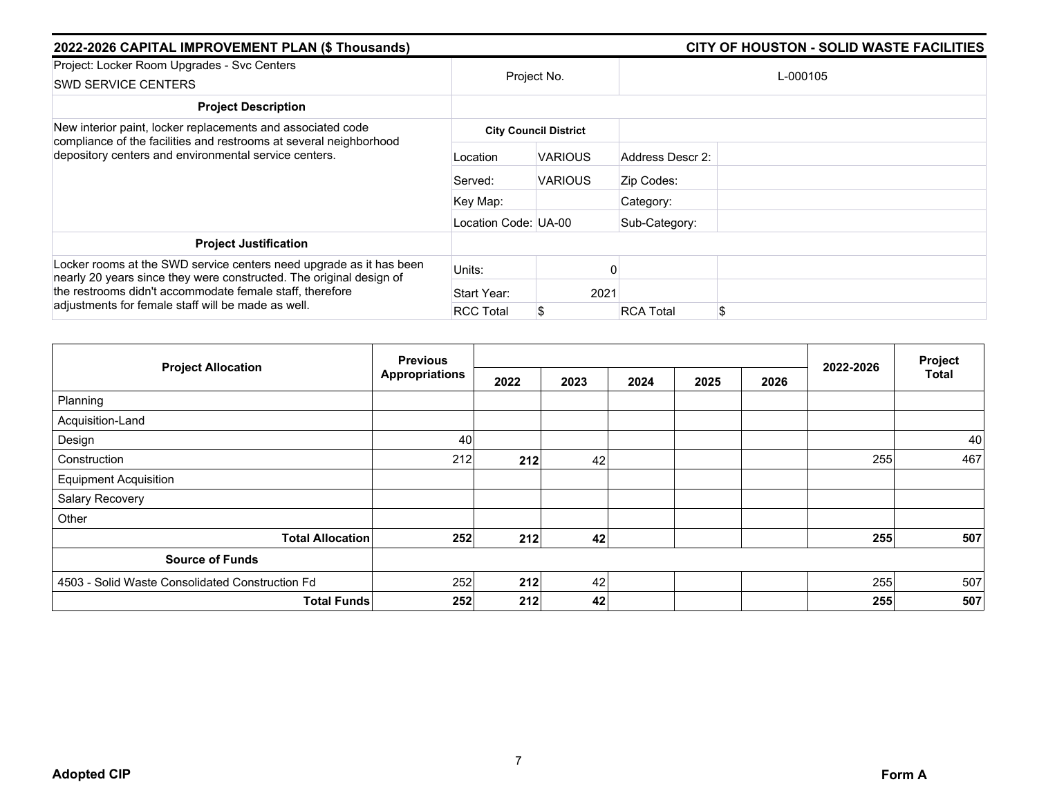| 2022-2026 CAPITAL IMPROVEMENT PLAN (\$ Thousands)                                                                                                                                                                                                            | CITY OF HOUSTON - SOLID WASTE FACILITIES |                              |                  |          |  |
|--------------------------------------------------------------------------------------------------------------------------------------------------------------------------------------------------------------------------------------------------------------|------------------------------------------|------------------------------|------------------|----------|--|
| Project: Locker Room Upgrades - Svc Centers<br><b>SWD SERVICE CENTERS</b>                                                                                                                                                                                    | Project No.                              |                              |                  | L-000105 |  |
| <b>Project Description</b>                                                                                                                                                                                                                                   |                                          |                              |                  |          |  |
| New interior paint, locker replacements and associated code<br>compliance of the facilities and restrooms at several neighborhood<br>depository centers and environmental service centers.                                                                   |                                          | <b>City Council District</b> |                  |          |  |
|                                                                                                                                                                                                                                                              | Location                                 | <b>VARIOUS</b>               | Address Descr 2: |          |  |
|                                                                                                                                                                                                                                                              | Served:                                  | <b>VARIOUS</b>               | Zip Codes:       |          |  |
|                                                                                                                                                                                                                                                              | Key Map:                                 |                              | Category:        |          |  |
|                                                                                                                                                                                                                                                              | Location Code: UA-00                     |                              | Sub-Category:    |          |  |
| <b>Project Justification</b>                                                                                                                                                                                                                                 |                                          |                              |                  |          |  |
| Locker rooms at the SWD service centers need upgrade as it has been<br>nearly 20 years since they were constructed. The original design of<br>the restrooms didn't accommodate female staff, therefore<br>adjustments for female staff will be made as well. | Units:                                   |                              |                  |          |  |
|                                                                                                                                                                                                                                                              | Start Year:                              | 2021                         |                  |          |  |
|                                                                                                                                                                                                                                                              | <b>RCC Total</b>                         |                              | <b>RCA Total</b> | \$       |  |

| <b>Project Allocation</b>                       | <b>Previous</b>       |      |      |      | Project |      |           |              |
|-------------------------------------------------|-----------------------|------|------|------|---------|------|-----------|--------------|
|                                                 | <b>Appropriations</b> | 2022 | 2023 | 2024 | 2025    | 2026 | 2022-2026 | <b>Total</b> |
| Planning                                        |                       |      |      |      |         |      |           |              |
| Acquisition-Land                                |                       |      |      |      |         |      |           |              |
| Design                                          | 40                    |      |      |      |         |      |           | 40           |
| Construction                                    | 212                   | 212  | 42   |      |         |      | 255       | 467          |
| <b>Equipment Acquisition</b>                    |                       |      |      |      |         |      |           |              |
| Salary Recovery                                 |                       |      |      |      |         |      |           |              |
| Other                                           |                       |      |      |      |         |      |           |              |
| <b>Total Allocation</b>                         | 252                   | 212  | 42   |      |         |      | 255       | 507          |
| <b>Source of Funds</b>                          |                       |      |      |      |         |      |           |              |
| 4503 - Solid Waste Consolidated Construction Fd | 252                   | 212  | 42   |      |         |      | 255       | 507          |
| <b>Total Funds</b>                              | 252                   | 212  | 42   |      |         |      | 255       | 507          |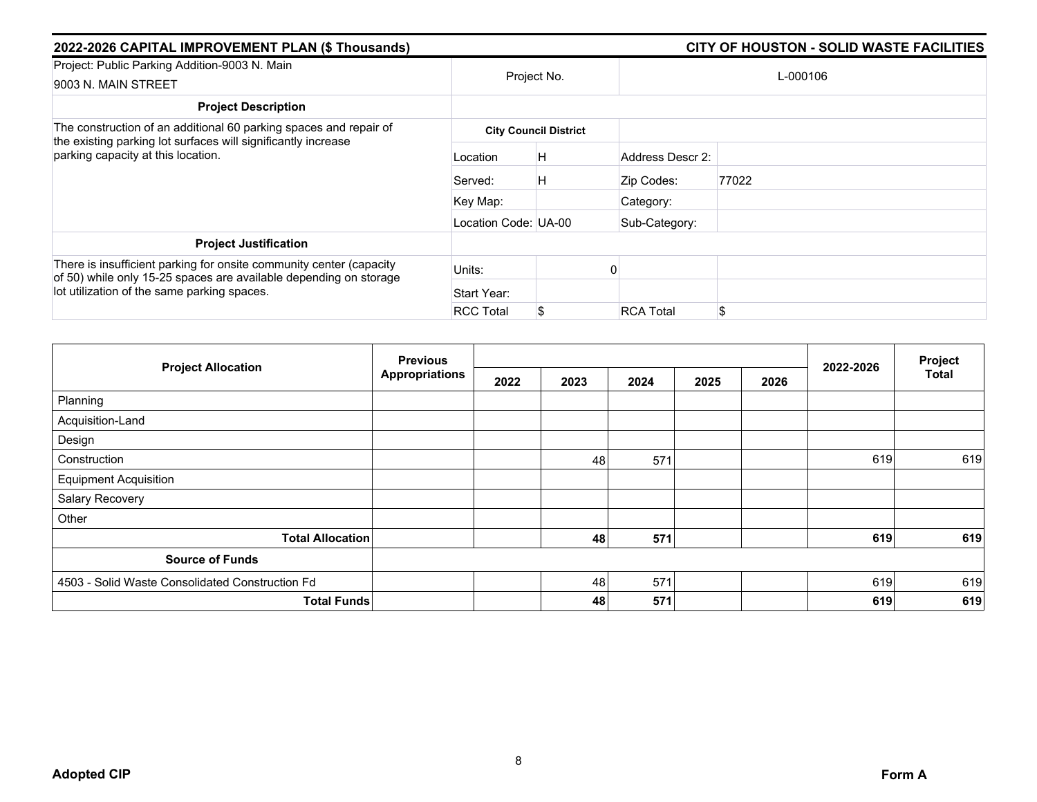| 2022-2026 CAPITAL IMPROVEMENT PLAN (\$ Thousands)                                                                                                                                       |                      | <b>CITY OF HOUSTON - SOLID WASTE FACILITIES</b> |                  |       |  |  |
|-----------------------------------------------------------------------------------------------------------------------------------------------------------------------------------------|----------------------|-------------------------------------------------|------------------|-------|--|--|
| Project: Public Parking Addition-9003 N. Main<br>9003 N. MAIN STREET                                                                                                                    | Project No.          |                                                 | L-000106         |       |  |  |
| <b>Project Description</b>                                                                                                                                                              |                      |                                                 |                  |       |  |  |
| The construction of an additional 60 parking spaces and repair of<br>the existing parking lot surfaces will significantly increase<br>parking capacity at this location.                |                      | <b>City Council District</b>                    |                  |       |  |  |
|                                                                                                                                                                                         | Location             | H                                               | Address Descr 2: |       |  |  |
|                                                                                                                                                                                         | Served:              | Н                                               | Zip Codes:       | 77022 |  |  |
|                                                                                                                                                                                         | Key Map:             |                                                 | Category:        |       |  |  |
|                                                                                                                                                                                         | Location Code: UA-00 |                                                 | Sub-Category:    |       |  |  |
| <b>Project Justification</b>                                                                                                                                                            |                      |                                                 |                  |       |  |  |
| There is insufficient parking for onsite community center (capacity<br>of 50) while only 15-25 spaces are available depending on storage<br>lot utilization of the same parking spaces. | Units:               |                                                 |                  |       |  |  |
|                                                                                                                                                                                         | Start Year:          |                                                 |                  |       |  |  |
|                                                                                                                                                                                         | <b>RCC Total</b>     | S.                                              | <b>RCA Total</b> | \$    |  |  |

| <b>Project Allocation</b>                       | <b>Previous</b>       |      |      |      | Project |      |           |              |
|-------------------------------------------------|-----------------------|------|------|------|---------|------|-----------|--------------|
|                                                 | <b>Appropriations</b> | 2022 | 2023 | 2024 | 2025    | 2026 | 2022-2026 | <b>Total</b> |
| Planning                                        |                       |      |      |      |         |      |           |              |
| Acquisition-Land                                |                       |      |      |      |         |      |           |              |
| Design                                          |                       |      |      |      |         |      |           |              |
| Construction                                    |                       |      | 48   | 571  |         |      | 619       | 619          |
| <b>Equipment Acquisition</b>                    |                       |      |      |      |         |      |           |              |
| Salary Recovery                                 |                       |      |      |      |         |      |           |              |
| Other                                           |                       |      |      |      |         |      |           |              |
| <b>Total Allocation</b>                         |                       |      | 48   | 571  |         |      | 619       | 619          |
| <b>Source of Funds</b>                          |                       |      |      |      |         |      |           |              |
| 4503 - Solid Waste Consolidated Construction Fd |                       |      | 48   | 571  |         |      | 619       | 619          |
|                                                 | <b>Total Funds</b>    |      | 48   | 571  |         |      | 619       | 619          |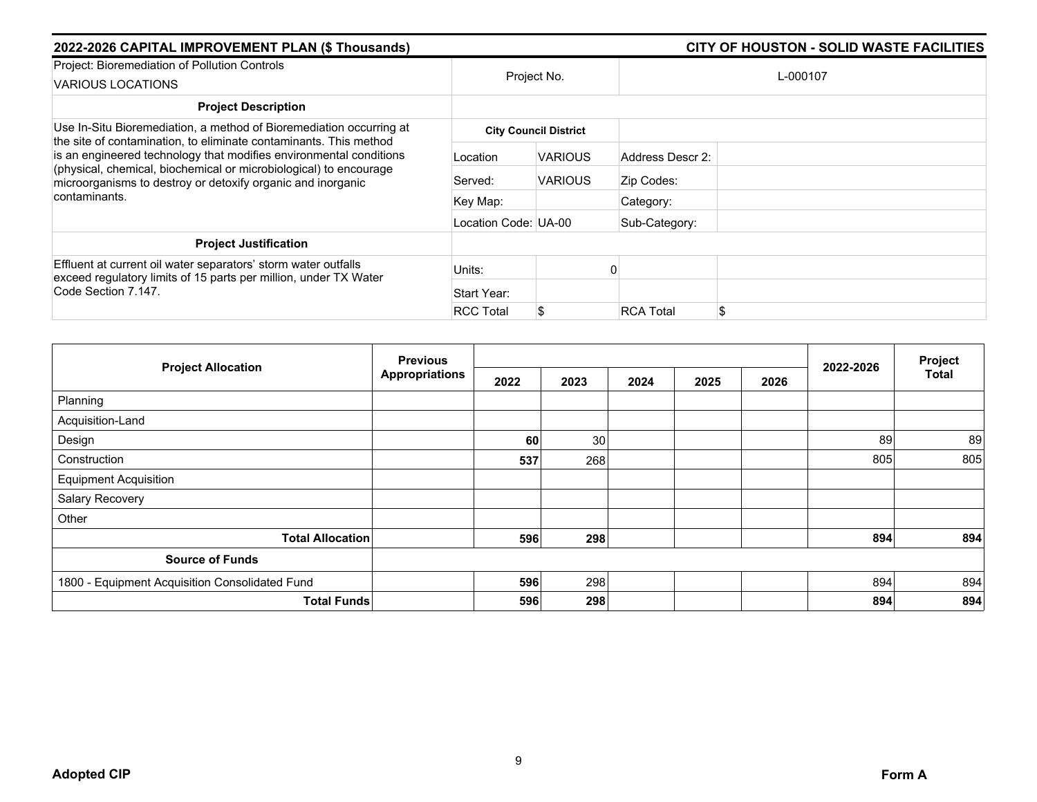| 2022-2026 CAPITAL IMPROVEMENT PLAN (\$ Thousands)                                                                                                                                                                                                                                                                                                                   |                      |                              |                  | <b>CITY OF HOUSTON - SOLID WASTE FACILITIES</b> |  |  |  |
|---------------------------------------------------------------------------------------------------------------------------------------------------------------------------------------------------------------------------------------------------------------------------------------------------------------------------------------------------------------------|----------------------|------------------------------|------------------|-------------------------------------------------|--|--|--|
| Project: Bioremediation of Pollution Controls<br>VARIOUS LOCATIONS                                                                                                                                                                                                                                                                                                  | Project No.          |                              | L-000107         |                                                 |  |  |  |
| <b>Project Description</b>                                                                                                                                                                                                                                                                                                                                          |                      |                              |                  |                                                 |  |  |  |
| Use In-Situ Bioremediation, a method of Bioremediation occurring at<br>the site of contamination, to eliminate contaminants. This method<br>is an engineered technology that modifies environmental conditions<br>(physical, chemical, biochemical or microbiological) to encourage<br>microorganisms to destroy or detoxify organic and inorganic<br>contaminants. |                      | <b>City Council District</b> |                  |                                                 |  |  |  |
|                                                                                                                                                                                                                                                                                                                                                                     | Location             | <b>VARIOUS</b>               | Address Descr 2: |                                                 |  |  |  |
|                                                                                                                                                                                                                                                                                                                                                                     | Served:              | <b>VARIOUS</b>               | Zip Codes:       |                                                 |  |  |  |
|                                                                                                                                                                                                                                                                                                                                                                     | Key Map:             |                              | Category:        |                                                 |  |  |  |
|                                                                                                                                                                                                                                                                                                                                                                     | Location Code: UA-00 |                              | Sub-Category:    |                                                 |  |  |  |
| <b>Project Justification</b>                                                                                                                                                                                                                                                                                                                                        |                      |                              |                  |                                                 |  |  |  |
| Effluent at current oil water separators' storm water outfalls<br>exceed regulatory limits of 15 parts per million, under TX Water<br>Code Section 7.147.                                                                                                                                                                                                           | Units:               |                              |                  |                                                 |  |  |  |
|                                                                                                                                                                                                                                                                                                                                                                     | Start Year:          |                              |                  |                                                 |  |  |  |
|                                                                                                                                                                                                                                                                                                                                                                     | <b>RCC Total</b>     | S                            | <b>RCA Total</b> |                                                 |  |  |  |

| <b>Project Allocation</b>                      | <b>Previous</b>       |      |      |      | Project |      |           |              |
|------------------------------------------------|-----------------------|------|------|------|---------|------|-----------|--------------|
|                                                | <b>Appropriations</b> | 2022 | 2023 | 2024 | 2025    | 2026 | 2022-2026 | <b>Total</b> |
| Planning                                       |                       |      |      |      |         |      |           |              |
| Acquisition-Land                               |                       |      |      |      |         |      |           |              |
| Design                                         |                       | 60   | 30   |      |         |      | 89        | 89           |
| Construction                                   |                       | 537  | 268  |      |         |      | 805       | 805          |
| <b>Equipment Acquisition</b>                   |                       |      |      |      |         |      |           |              |
| Salary Recovery                                |                       |      |      |      |         |      |           |              |
| Other                                          |                       |      |      |      |         |      |           |              |
| <b>Total Allocation</b>                        |                       | 596  | 298  |      |         |      | 894       | 894          |
| <b>Source of Funds</b>                         |                       |      |      |      |         |      |           |              |
| 1800 - Equipment Acquisition Consolidated Fund |                       | 596  | 298  |      |         |      | 894       | 894          |
| <b>Total Funds</b>                             |                       | 596  | 298  |      |         |      | 894       | 894          |